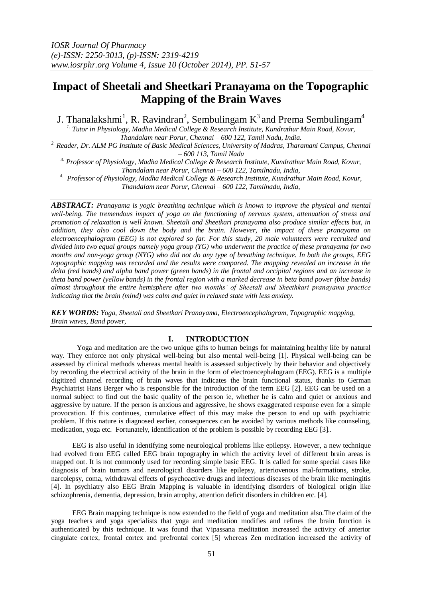# **Impact of Sheetali and Sheetkari Pranayama on the Topographic Mapping of the Brain Waves**

J. Thanalakshmi<sup>1</sup>, R. Ravindran<sup>2</sup>, Sembulingam K<sup>3</sup> and Prema Sembulingam<sup>4</sup>

*1. Tutor in Physiology, Madha Medical College & Research Institute, Kundrathur Main Road, Kovur, Thandalam near Porur, Chennai – 600 122, Tamil Nadu, India.*

*2. Reader, Dr. ALM PG Institute of Basic Medical Sciences, University of Madras, Tharamani Campus, Chennai – 600 113, Tamil Nadu*

*3. Professor of Physiology, Madha Medical College & Research Institute, Kundrathur Main Road, Kovur, Thandalam near Porur, Chennai – 600 122, Tamilnadu, India,* 

<sup>4.</sup> Professor of Physiology, Madha Medical College & Research Institute, Kundrathur Main Road, Kovur,

*Thandalam near Porur, Chennai – 600 122, Tamilnadu, India,*

*ABSTRACT: Pranayama is yogic breathing technique which is known to improve the physical and mental well-being. The tremendous impact of yoga on the functioning of nervous system, attenuation of stress and promotion of relaxation is well known. Sheetali and Sheetkari pranayama also produce similar effects but, in addition, they also cool down the body and the brain. However, the impact of these pranayama on electroencephalogram (EEG) is not explored so far. For this study, 20 male volunteers were recruited and divided into two equal groups namely yoga group (YG) who underwent the practice of these pranayama for two months and non-yoga group (NYG) who did not do any type of breathing technique. In both the groups, EEG topographic mapping was recorded and the results were compared. The mapping revealed an increase in the delta (red bands) and alpha band power (green bands) in the frontal and occipital regions and an increase in theta band power (yellow bands) in the frontal region with a marked decrease in beta band power (blue bands) almost throughout the entire hemisphere after two months' of Sheetali and Sheethkari pranayama practice indicating that the brain (mind) was calm and quiet in relaxed state with less anxiety.*

*KEY WORDS: Yoga, Sheetali and Sheetkari Pranayama, Electroencephalogram, Topographic mapping, Brain waves, Band power,*

## **I. INTRODUCTION**

Yoga and meditation are the two unique gifts to human beings for maintaining healthy life by natural way. They enforce not only physical well-being but also mental well-being [1]. Physical well-being can be assessed by clinical methods whereas mental health is assessed subjectively by their behavior and objectively by recording the electrical activity of the brain in the form of electroencephalogram (EEG). EEG is a multiple digitized channel recording of brain waves that indicates the brain functional status, thanks to German Psychiatrist Hans Berger who is responsible for the introduction of the term EEG [2]. EEG can be used on a normal subject to find out the basic quality of the person ie, whether he is calm and quiet or anxious and aggressive by nature. If the person is anxious and aggressive, he shows exaggerated response even for a simple provocation. If this continues, cumulative effect of this may make the person to end up with psychiatric problem. If this nature is diagnosed earlier, consequences can be avoided by various methods like counseling, medication, yoga etc. Fortunately, identification of the problem is possible by recording EEG [3]..

 EEG is also useful in identifying some neurological problems like epilepsy. However, a new technique had evolved from EEG called EEG brain topography in which the activity level of different brain areas is mapped out. It is not commonly used for recording simple basic EEG. It is called for some special cases like diagnosis of brain tumors and neurological disorders like epilepsy, arteriovenous mal-formations, stroke, narcolepsy, coma, withdrawal effects of psychoactive drugs and infectious diseases of the brain like meningitis [4]. In psychiatry also EEG Brain Mapping is valuable in identifying disorders of biological origin like schizophrenia, dementia, depression, brain atrophy, attention deficit disorders in children etc. [4].

 EEG Brain mapping technique is now extended to the field of yoga and meditation also.The claim of the yoga teachers and yoga specialists that yoga and meditation modifies and refines the brain function is authenticated by this technique. It was found that Vipassana meditation increased the activity of anterior cingulate cortex, frontal cortex and prefrontal cortex [5] whereas Zen meditation increased the activity of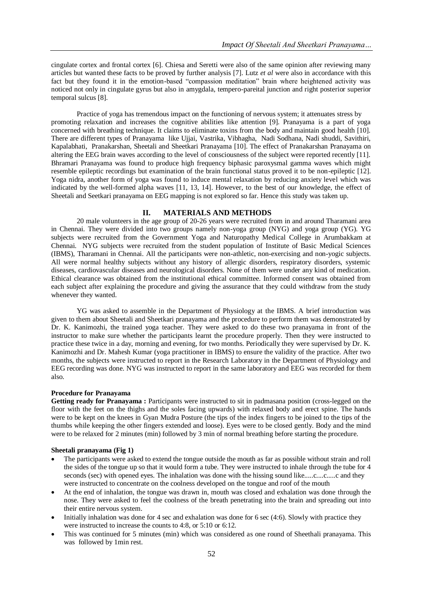cingulate cortex and frontal cortex [6]. Chiesa and Seretti were also of the same opinion after reviewing many articles but wanted these facts to be proved by further analysis [7]. Lutz *et al* were also in accordance with this fact but they found it in the emotion-based "compassion meditation" brain where heightened activity was noticed not only in cingulate gyrus but also in amygdala, tempero-pareital junction and right posterior superior temporal sulcus [8].

Practice of yoga has tremendous impact on the functioning of nervous system; it attenuates stress by promoting relaxation and increases the cognitive abilities like attention [9]. Pranayama is a part of yoga concerned with breathing technique. It claims to eliminate toxins from the body and maintain good health [10]. There are different types of Pranayama like Ujjai, Vastrika, Vibhagha, Nadi Sodhana, Nadi shuddi, Savithiri, Kapalabhati, Pranakarshan, Sheetali and Sheetkari Pranayama [10]. The effect of Pranakarshan Pranayama on altering the EEG brain waves according to the level of consciousness of the subject were reported recently [11]. Bhramari Pranayama was found to produce high frequency biphasic paroxysmal gamma waves which might resemble epileptic recordings but examination of the brain functional status proved it to be non-epileptic [12]. Yoga nidra, another form of yoga was found to induce mental relaxation by reducing anxiety level which was indicated by the well-formed alpha waves [11, 13, 14]. However, to the best of our knowledge, the effect of Sheetali and Seetkari pranayama on EEG mapping is not explored so far. Hence this study was taken up.

## **II. MATERIALS AND METHODS**

20 male volunteers in the age group of 20-26 years were recruited from in and around Tharamani area in Chennai. They were divided into two groups namely non-yoga group (NYG) and yoga group (YG). YG subjects were recruited from the Government Yoga and Naturopathy Medical College in Arumbakkam at Chennai. NYG subjects were recruited from the student population of Institute of Basic Medical Sciences (IBMS), Tharamani in Chennai. All the participants were non-athletic, non-exercising and non-yogic subjects. All were normal healthy subjects without any history of allergic disorders, respiratory disorders, systemic diseases, cardiovascular diseases and neurological disorders. None of them were under any kind of medication. Ethical clearance was obtained from the institutional ethical committee. Informed consent was obtained from each subject after explaining the procedure and giving the assurance that they could withdraw from the study whenever they wanted.

 YG was asked to assemble in the Department of Physiology at the IBMS. A brief introduction was given to them about Sheetali and Sheetkari pranayama and the procedure to perform them was demonstrated by Dr. K. Kanimozhi, the trained yoga teacher. They were asked to do these two pranayama in front of the instructor to make sure whether the participants learnt the procedure properly. Then they were instructed to practice these twice in a day, morning and evening, for two months. Periodically they were supervised by Dr. K. Kanimozhi and Dr. Mahesh Kumar (yoga practitioner in IBMS) to ensure the validity of the practice. After two months, the subjects were instructed to report in the Research Laboratory in the Department of Physiology and EEG recording was done. NYG was instructed to report in the same laboratory and EEG was recorded for them also.

### **Procedure for Pranayama**

**Getting ready for Pranayama :** Participants were instructed to sit in padmasana position (cross-legged on the floor with the feet on the thighs and the soles facing upwards) with relaxed body and erect spine. The hands were to be kept on the knees in Gyan Mudra Posture (the tips of the index fingers to be joined to the tips of the thumbs while keeping the other fingers extended and loose). Eyes were to be closed gently. Body and the mind were to be relaxed for 2 minutes (min) followed by 3 min of normal breathing before starting the procedure.

#### **Sheetali pranayama (Fig 1)**

- The participants were asked to extend the tongue outside the mouth as far as possible without strain and roll the sides of the tongue up so that it would form a tube. They were instructed to inhale through the tube for 4 seconds (sec) with opened eyes. The inhalation was done with the hissing sound like.....c....c.....c and they were instructed to concentrate on the coolness developed on the tongue and roof of the mouth
- At the end of inhalation, the tongue was drawn in, mouth was closed and exhalation was done through the nose. They were asked to feel the coolness of the breath penetrating into the brain and spreading out into their entire nervous system.
- Initially inhalation was done for 4 sec and exhalation was done for 6 sec (4:6). Slowly with practice they were instructed to increase the counts to 4:8, or 5:10 or 6:12.
- This was continued for 5 minutes (min) which was considered as one round of Sheethali pranayama. This was followed by 1min rest.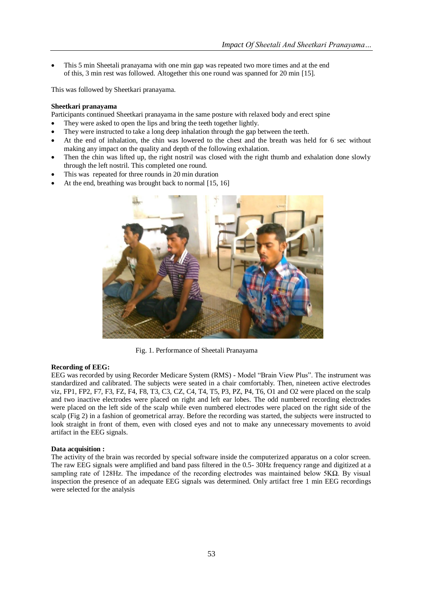This 5 min Sheetali pranayama with one min gap was repeated two more times and at the end of this, 3 min rest was followed. Altogether this one round was spanned for 20 min [15].

This was followed by Sheetkari pranayama.

## **Sheetkari pranayama**

Participants continued Sheetkari pranayama in the same posture with relaxed body and erect spine

- They were asked to open the lips and bring the teeth together lightly.
- They were instructed to take a long deep inhalation through the gap between the teeth.
- At the end of inhalation, the chin was lowered to the chest and the breath was held for 6 sec without making any impact on the quality and depth of the following exhalation.
- Then the chin was lifted up, the right nostril was closed with the right thumb and exhalation done slowly through the left nostril. This completed one round.
- This was repeated for three rounds in 20 min duration
- At the end, breathing was brought back to normal [15, 16]



Fig. 1. Performance of Sheetali Pranayama

#### **Recording of EEG:**

EEG was recorded by using Recorder Medicare System (RMS) - Model "Brain View Plus". The instrument was standardized and calibrated. The subjects were seated in a chair comfortably. Then, nineteen active electrodes viz, FP1, FP2, F7, F3, FZ, F4, F8, T3, C3, CZ, C4, T4, T5, P3, PZ, P4, T6, O1 and O2 were placed on the scalp and two inactive electrodes were placed on right and left ear lobes. The odd numbered recording electrodes were placed on the left side of the scalp while even numbered electrodes were placed on the right side of the scalp (Fig 2) in a fashion of geometrical array. Before the recording was started, the subjects were instructed to look straight in front of them, even with closed eyes and not to make any unnecessary movements to avoid artifact in the EEG signals.

#### **Data acquisition :**

The activity of the brain was recorded by special software inside the computerized apparatus on a color screen. The raw EEG signals were amplified and band pass filtered in the 0.5- 30Hz frequency range and digitized at a sampling rate of 128Hz. The impedance of the recording electrodes was maintained below 5KΩ. By visual inspection the presence of an adequate EEG signals was determined. Only artifact free 1 min EEG recordings were selected for the analysis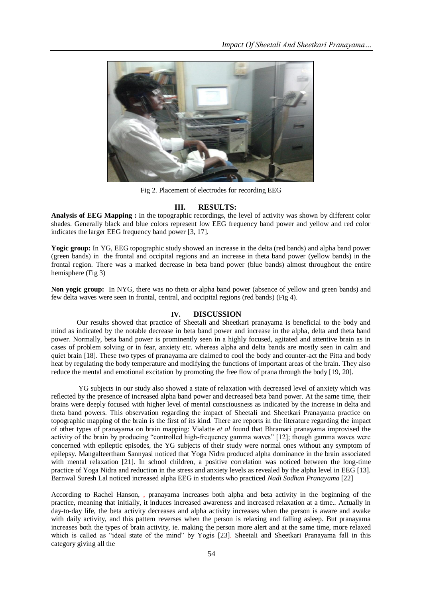

Fig 2. Placement of electrodes for recording EEG

## **III. RESULTS:**

**Analysis of EEG Mapping :** In the topographic recordings, the level of activity was shown by different color shades. Generally black and blue colors represent low EEG frequency band power and yellow and red color indicates the larger EEG frequency band power [3, 17].

**Yogic group:** In YG, EEG topographic study showed an increase in the delta (red bands) and alpha band power (green bands) in the frontal and occipital regions and an increase in theta band power (yellow bands) in the frontal region. There was a marked decrease in beta band power (blue bands) almost throughout the entire hemisphere (Fig 3)

**Non yogic group:** In NYG, there was no theta or alpha band power (absence of yellow and green bands) and few delta waves were seen in frontal, central, and occipital regions (red bands) (Fig 4).

## **IV. DISCUSSION**

Our results showed that practice of Sheetali and Sheetkari pranayama is beneficial to the body and mind as indicated by the notable decrease in beta band power and increase in the alpha, delta and theta band power. Normally, beta band power is prominently seen in a highly focused, agitated and attentive brain as in cases of problem solving or in fear, anxiety etc. whereas alpha and delta bands are mostly seen in calm and quiet brain [18]. These two types of pranayama are claimed to cool the body and counter-act the Pitta and body heat by regulating the body temperature and modifying the functions of important areas of the brain. They also reduce the mental and emotional excitation by promoting the free flow of prana through the body [19, 20].

 YG subjects in our study also showed a state of relaxation with decreased level of anxiety which was reflected by the presence of increased alpha band power and decreased beta band power. At the same time, their brains were deeply focused with higher level of mental consciousness as indicated by the increase in delta and theta band powers. This observation regarding the impact of Sheetali and Sheetkari Pranayama practice on topographic mapping of the brain is the first of its kind. There are reports in the literature regarding the impact of other types of pranayama on brain mapping: Vialatte *et al* found that Bhramari pranayama improvised the activity of the brain by producing "controlled high-frequency gamma waves" [12]; though gamma waves were concerned with epileptic episodes, the YG subjects of their study were normal ones without any symptom of epilepsy. Mangalteertham Sannyasi noticed that Yoga Nidra produced alpha dominance in the brain associated with mental relaxation [21]. In school children, a positive correlation was noticed between the long-time practice of Yoga Nidra and reduction in the stress and anxiety levels as revealed by the alpha level in EEG [13]. Barnwal Suresh Lal noticed increased alpha EEG in students who practiced *Nadi Sodhan Pranayama* [22]

According to Rachel Hanson, , pranayama increases both alpha and beta activity in the beginning of the practice, meaning that initially, it induces increased awareness and increased relaxation at a time.. Actually in day-to-day life, the beta activity decreases and alpha activity increases when the person is aware and awake with daily activity, and this pattern reverses when the person is relaxing and falling asleep. But pranayama increases both the types of brain activity, ie. making the person more alert and at the same time, more relaxed which is called as "ideal state of the mind" by Yogis [23]. Sheetali and Sheetkari Pranayama fall in this category giving all the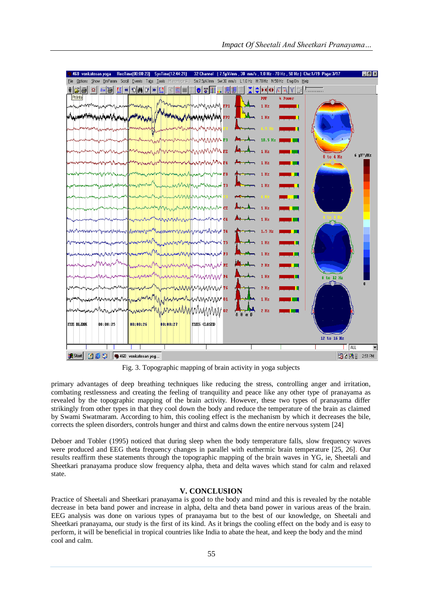

Fig. 3. Topographic mapping of brain activity in yoga subjects

primary advantages of deep breathing techniques like reducing the stress, controlling anger and irritation, combating restlessness and creating the feeling of tranquility and peace like any other type of pranayama as revealed by the topographic mapping of the brain activity. However, these two types of pranayama differ strikingly from other types in that they cool down the body and reduce the temperature of the brain as claimed by Swami Swatmaram. According to him, this cooling effect is the mechanism by which it decreases the bile, corrects the spleen disorders, controls hunger and thirst and calms down the entire nervous system [24]

Deboer and Tobler (1995) noticed that during sleep when the body temperature falls, slow frequency waves were produced and EEG theta frequency changes in parallel with euthermic brain temperature [25, 26]. Our results reaffirm these statements through the topographic mapping of the brain waves in YG, ie, Sheetali and Sheetkari pranayama produce slow frequency alpha, theta and delta waves which stand for calm and relaxed state.

## **V. CONCLUSION**

Practice of Sheetali and Sheetkari pranayama is good to the body and mind and this is revealed by the notable decrease in beta band power and increase in alpha, delta and theta band power in various areas of the brain. EEG analysis was done on various types of pranayama but to the best of our knowledge, on Sheetali and Sheetkari pranayama, our study is the first of its kind. As it brings the cooling effect on the body and is easy to perform, it will be beneficial in tropical countries like India to abate the heat, and keep the body and the mind cool and calm.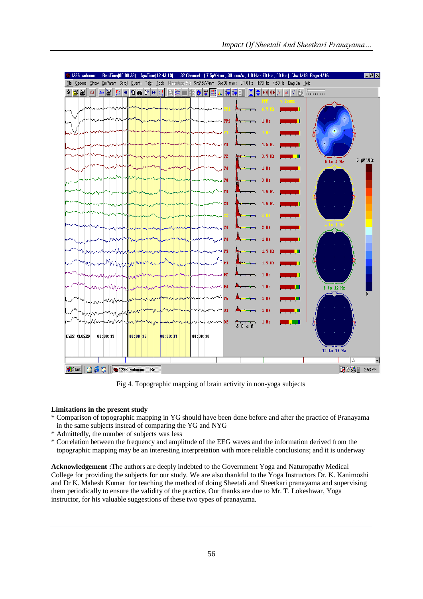

Fig 4. Topographic mapping of brain activity in non-yoga subjects

## **Limitations in the present study**

- \* Comparison of topographic mapping in YG should have been done before and after the practice of Pranayama in the same subjects instead of comparing the YG and NYG
- \* Admittedly, the number of subjects was less
- \* Correlation between the frequency and amplitude of the EEG waves and the information derived from the topographic mapping may be an interesting interpretation with more reliable conclusions; and it is underway

**Acknowledgement :**The authors are deeply indebted to the Government Yoga and Naturopathy Medical College for providing the subjects for our study. We are also thankful to the Yoga Instructors Dr. K. Kanimozhi and Dr K. Mahesh Kumar for teaching the method of doing Sheetali and Sheetkari pranayama and supervising them periodically to ensure the validity of the practice. Our thanks are due to Mr. T. Lokeshwar, Yoga instructor, for his valuable suggestions of these two types of pranayama.